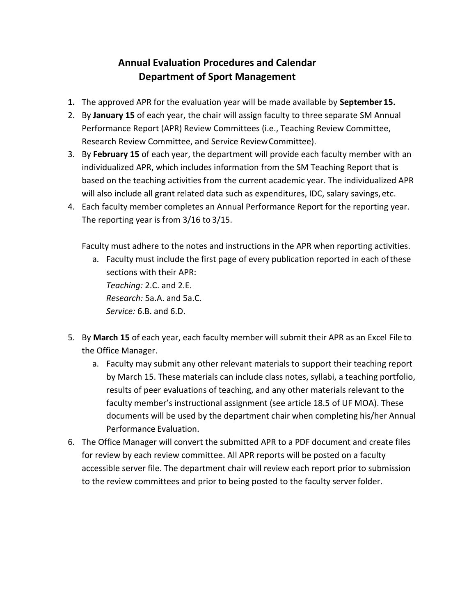## **Annual Evaluation Procedures and Calendar Department of Sport Management**

- **1.** The approved APR for the evaluation year will be made available by **September 15.**
- 2. By **January 15** of each year, the chair will assign faculty to three separate SM Annual Performance Report (APR) Review Committees (i.e., Teaching Review Committee, Research Review Committee, and Service ReviewCommittee).
- 3. By **February 15** of each year, the department will provide each faculty member with an individualized APR, which includes information from the SM Teaching Report that is based on the teaching activities from the current academic year. The individualized APR will also include all grant related data such as expenditures, IDC, salary savings, etc.
- 4. Each faculty member completes an Annual Performance Report for the reporting year. The reporting year is from 3/16 to 3/15.

Faculty must adhere to the notes and instructions in the APR when reporting activities.

- a. Faculty must include the first page of every publication reported in each ofthese sections with their APR: *Teaching:* 2.C. and 2.E. *Research:* 5a.A. and 5a.C. *Service:* 6.B. and 6.D.
- 5. By **March 15** of each year, each faculty member will submit their APR as an Excel File to the Office Manager.
	- a. Faculty may submit any other relevant materials to support their teaching report by March 15. These materials can include class notes, syllabi, a teaching portfolio, results of peer evaluations of teaching, and any other materials relevant to the faculty member's instructional assignment (see article 18.5 of UF MOA). These documents will be used by the department chair when completing his/her Annual Performance Evaluation.
- 6. The Office Manager will convert the submitted APR to a PDF document and create files for review by each review committee. All APR reports will be posted on a faculty accessible server file. The department chair will review each report prior to submission to the review committees and prior to being posted to the faculty serverfolder.